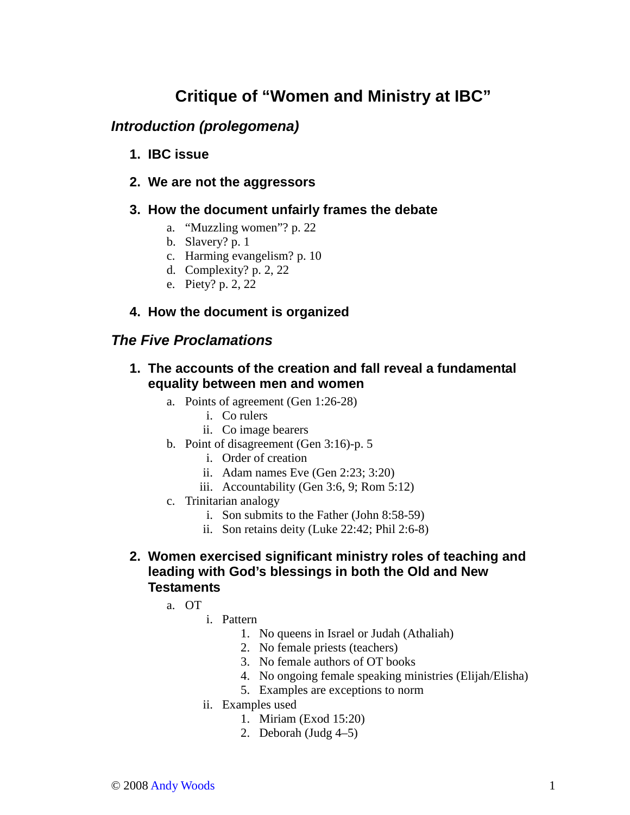# **Critique of "Women and Ministry at IBC"**

# **Introduction (prolegomena)**

- **1. IBC issue**
- **2. We are not the aggressors**

### **3. How the document unfairly frames the debate**

- a. "Muzzling women"? p. 22
- b. Slavery? p. 1
- c. Harming evangelism? p. 10
- d. Complexity? p. 2, 22
- e. Piety? p. 2, 22

## **4. How the document is organized**

# **The Five Proclamations**

- **1. The accounts of the creation and fall reveal a fundamental equality between men and women** 
	- a. Points of agreement (Gen 1:26-28)
		- i. Co rulers
		- ii. Co image bearers
	- b. Point of disagreement (Gen 3:16)-p. 5
		- i. Order of creation
		- ii. Adam names Eve (Gen 2:23; 3:20)
		- iii. Accountability (Gen 3:6, 9; Rom 5:12)
	- c. Trinitarian analogy
		- i. Son submits to the Father (John 8:58-59)
		- ii. Son retains deity (Luke 22:42; Phil 2:6-8)

#### **2. Women exercised significant ministry roles of teaching and leading with God's blessings in both the Old and New Testaments**

- a. OT
	- i. Pattern
		- 1. No queens in Israel or Judah (Athaliah)
		- 2. No female priests (teachers)
		- 3. No female authors of OT books
		- 4. No ongoing female speaking ministries (Elijah/Elisha)
		- 5. Examples are exceptions to norm
	- ii. Examples used
		- 1. Miriam (Exod 15:20)
		- 2. Deborah (Judg 4–5)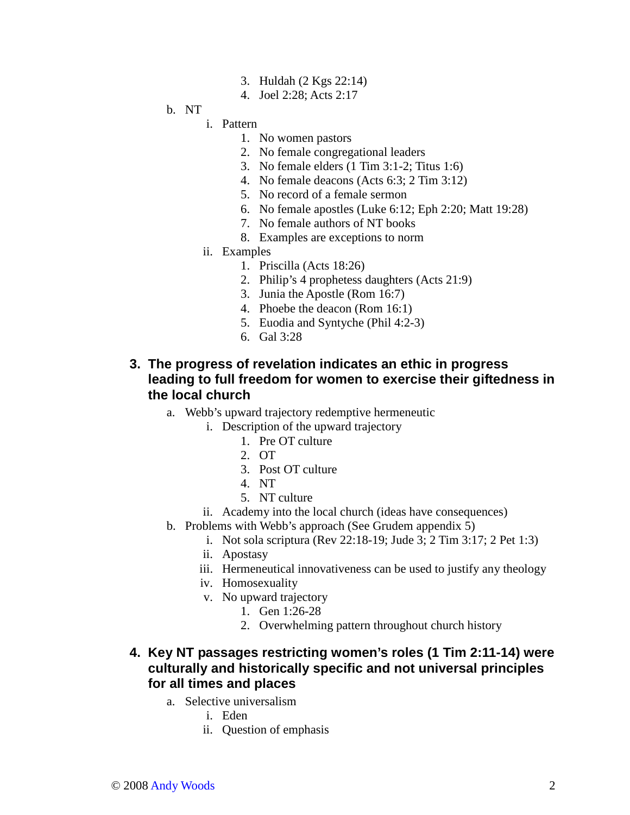- 3. Huldah (2 Kgs 22:14)
- 4. Joel 2:28; Acts 2:17

### b. NT

#### i. Pattern

- 1. No women pastors
- 2. No female congregational leaders
- 3. No female elders (1 Tim 3:1-2; Titus 1:6)
- 4. No female deacons (Acts 6:3; 2 Tim 3:12)
- 5. No record of a female sermon
- 6. No female apostles (Luke 6:12; Eph 2:20; Matt 19:28)
- 7. No female authors of NT books
- 8. Examples are exceptions to norm
- ii. Examples
	- 1. Priscilla (Acts 18:26)
	- 2. Philip's 4 prophetess daughters (Acts 21:9)
	- 3. Junia the Apostle (Rom 16:7)
	- 4. Phoebe the deacon (Rom 16:1)
	- 5. Euodia and Syntyche (Phil 4:2-3)
	- 6. Gal 3:28

#### **3. The progress of revelation indicates an ethic in progress leading to full freedom for women to exercise their giftedness in the local church**

- a. Webb's upward trajectory redemptive hermeneutic
	- i. Description of the upward trajectory
		- 1. Pre OT culture
		- 2. OT
		- 3. Post OT culture
		- 4. NT
		- 5. NT culture
	- ii. Academy into the local church (ideas have consequences)
- b. Problems with Webb's approach (See Grudem appendix 5)
	- i. Not sola scriptura (Rev 22:18-19; Jude 3; 2 Tim 3:17; 2 Pet 1:3)
	- ii. Apostasy
	- iii. Hermeneutical innovativeness can be used to justify any theology
	- iv. Homosexuality
	- v. No upward trajectory
		- 1. Gen 1:26-28
		- 2. Overwhelming pattern throughout church history

#### **4. Key NT passages restricting women's roles (1 Tim 2:11-14) were culturally and historically specific and not universal principles for all times and places**

- a. Selective universalism
	- i. Eden
	- ii. Question of emphasis